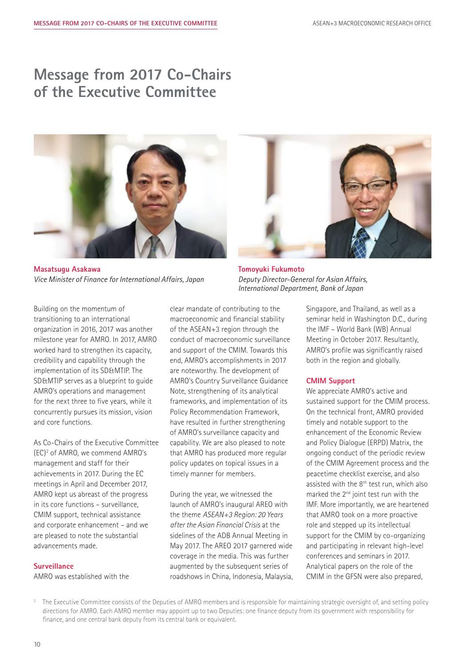# **Message from 2017 Co-Chairs of the Executive Committee**



**Masatsugu Asakawa** *Vice Minister of Finance for International Affairs, Japan*



**Tomoyuki Fukumoto** *Deputy Director-General for Asian Affairs, International Department, Bank of Japan* 

Building on the momentum of transitioning to an international organization in 2016, 2017 was another milestone year for AMRO. In 2017, AMRO worked hard to strengthen its capacity, credibility and capability through the implementation of its SD&MTIP. The SD&MTIP serves as a blueprint to guide AMRO's operations and management for the next three to five years, while it concurrently pursues its mission, vision and core functions.

As Co-Chairs of the Executive Committee (EC)2 of AMRO, we commend AMRO's management and staff for their achievements in 2017. During the EC meetings in April and December 2017, AMRO kept us abreast of the progress in its core functions – surveillance, CMIM support, technical assistance and corporate enhancement – and we are pleased to note the substantial advancements made.

## **Surveillance**

AMRO was established with the

clear mandate of contributing to the macroeconomic and financial stability of the ASEAN+3 region through the conduct of macroeconomic surveillance and support of the CMIM. Towards this end, AMRO's accomplishments in 2017 are noteworthy. The development of AMRO's Country Surveillance Guidance Note, strengthening of its analytical frameworks, and implementation of its Policy Recommendation Framework, have resulted in further strengthening of AMRO's surveillance capacity and capability. We are also pleased to note that AMRO has produced more regular policy updates on topical issues in a timely manner for members.

During the year, we witnessed the launch of AMRO's inaugural AREO with the theme *ASEAN+3 Region: 20 Years after the Asian Financial Crisis* at the sidelines of the ADB Annual Meeting in May 2017. The AREO 2017 garnered wide coverage in the media. This was further augmented by the subsequent series of roadshows in China, Indonesia, Malaysia, Singapore, and Thailand, as well as a seminar held in Washington D.C., during the IMF – World Bank (WB) Annual Meeting in October 2017. Resultantly, AMRO's profile was significantly raised both in the region and globally.

## **CMIM Support**

We appreciate AMRO's active and sustained support for the CMIM process. On the technical front, AMRO provided timely and notable support to the enhancement of the Economic Review and Policy Dialogue (ERPD) Matrix, the ongoing conduct of the periodic review of the CMIM Agreement process and the peacetime checklist exercise, and also assisted with the  $8<sup>th</sup>$  test run, which also marked the 2<sup>nd</sup> joint test run with the IMF. More importantly, we are heartened that AMRO took on a more proactive role and stepped up its intellectual support for the CMIM by co-organizing and participating in relevant high-level conferences and seminars in 2017. Analytical papers on the role of the CMIM in the GFSN were also prepared,

<sup>&</sup>lt;sup>2</sup> The Executive Committee consists of the Deputies of AMRO members and is responsible for maintaining strategic oversight of, and setting policy directions for AMRO. Each AMRO member may appoint up to two Deputies: one finance deputy from its government with responsibility for finance, and one central bank deputy from its central bank or equivalent.